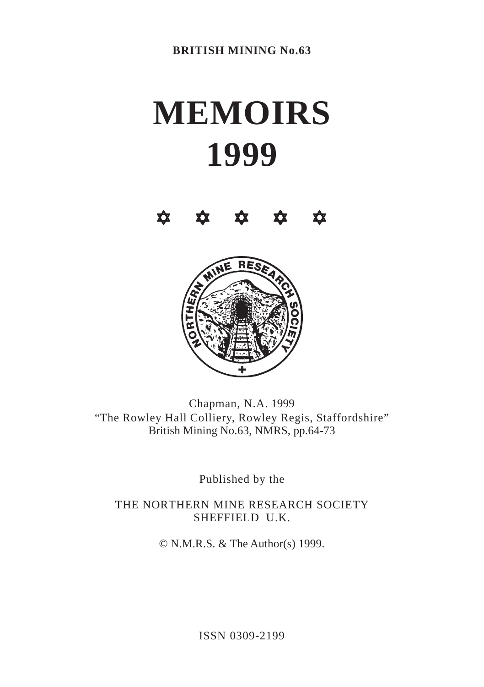# **MEMOIRS 1999**





Chapman, N.A. 1999 "The Rowley Hall Colliery, Rowley Regis, Staffordshire" British Mining No.63, NMRS, pp.64-73

Published by the

THE NORTHERN MINE RESEARCH SOCIETY SHEFFIELD U.K.

© N.M.R.S. & The Author(s) 1999.

ISSN 0309-2199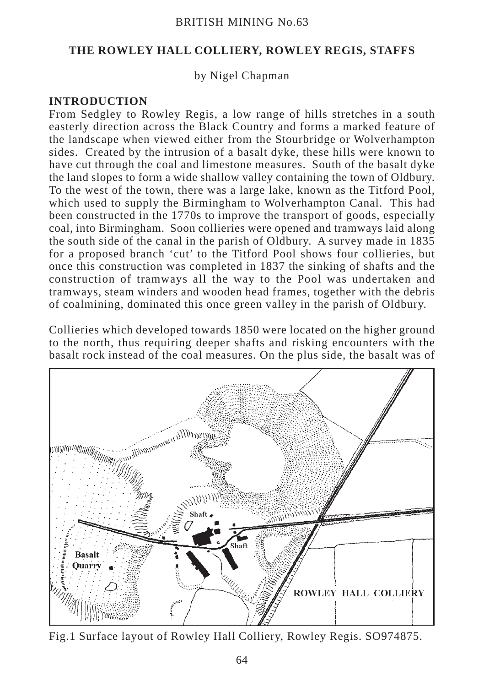#### BRITISH MINING No.63

#### **THE ROWLEY HALL COLLIERY, ROWLEY REGIS, STAFFS**

#### by Nigel Chapman

#### **INTRODUCTION**

From Sedgley to Rowley Regis, a low range of hills stretches in a south easterly direction across the Black Country and forms a marked feature of the landscape when viewed either from the Stourbridge or Wolverhampton sides. Created by the intrusion of a basalt dyke, these hills were known to have cut through the coal and limestone measures. South of the basalt dyke the land slopes to form a wide shallow valley containing the town of Oldbury. To the west of the town, there was a large lake, known as the Titford Pool, which used to supply the Birmingham to Wolverhampton Canal. This had been constructed in the 1770s to improve the transport of goods, especially coal, into Birmingham. Soon collieries were opened and tramways laid along the south side of the canal in the parish of Oldbury. A survey made in 1835 for a proposed branch 'cut' to the Titford Pool shows four collieries, but once this construction was completed in 1837 the sinking of shafts and the construction of tramways all the way to the Pool was undertaken and tramways, steam winders and wooden head frames, together with the debris of coalmining, dominated this once green valley in the parish of Oldbury.

Collieries which developed towards 1850 were located on the higher ground to the north, thus requiring deeper shafts and risking encounters with the basalt rock instead of the coal measures. On the plus side, the basalt was of



Fig.1 Surface layout of Rowley Hall Colliery, Rowley Regis. SO974875.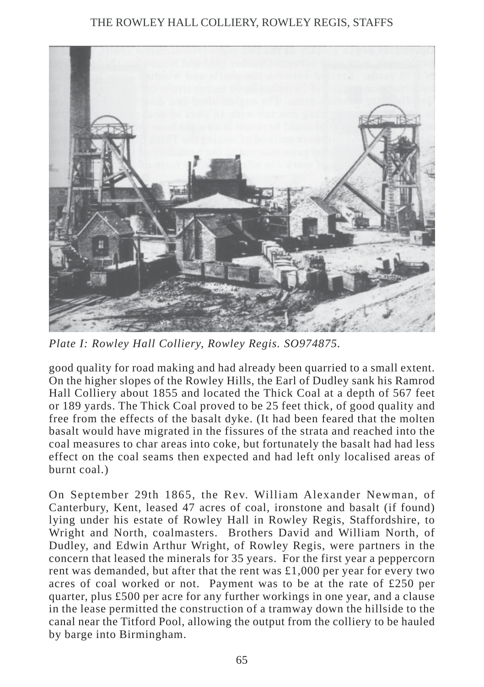## THE ROWLEY HALL COLLIERY, ROWLEY REGIS, STAFFS



*Plate I: Rowley Hall Colliery, Rowley Regis. SO974875.*

good quality for road making and had already been quarried to a small extent. On the higher slopes of the Rowley Hills, the Earl of Dudley sank his Ramrod Hall Colliery about 1855 and located the Thick Coal at a depth of 567 feet or 189 yards. The Thick Coal proved to be 25 feet thick, of good quality and free from the effects of the basalt dyke. (It had been feared that the molten basalt would have migrated in the fissures of the strata and reached into the coal measures to char areas into coke, but fortunately the basalt had had less effect on the coal seams then expected and had left only localised areas of burnt coal.)

On September 29th 1865, the Rev. William Alexander Newman, of Canterbury, Kent, leased 47 acres of coal, ironstone and basalt (if found) lying under his estate of Rowley Hall in Rowley Regis, Staffordshire, to Wright and North, coalmasters. Brothers David and William North, of Dudley, and Edwin Arthur Wright, of Rowley Regis, were partners in the concern that leased the minerals for 35 years. For the first year a peppercorn rent was demanded, but after that the rent was £1,000 per year for every two acres of coal worked or not. Payment was to be at the rate of £250 per quarter, plus £500 per acre for any further workings in one year, and a clause in the lease permitted the construction of a tramway down the hillside to the canal near the Titford Pool, allowing the output from the colliery to be hauled by barge into Birmingham.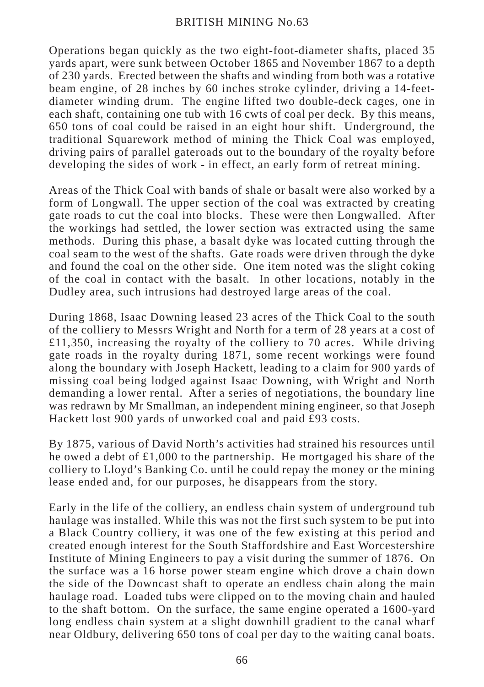#### BRITISH MINING No.63

Operations began quickly as the two eight-foot-diameter shafts, placed 35 yards apart, were sunk between October 1865 and November 1867 to a depth of 230 yards. Erected between the shafts and winding from both was a rotative beam engine, of 28 inches by 60 inches stroke cylinder, driving a 14-feetdiameter winding drum. The engine lifted two double-deck cages, one in each shaft, containing one tub with 16 cwts of coal per deck. By this means, 650 tons of coal could be raised in an eight hour shift. Underground, the traditional Squarework method of mining the Thick Coal was employed, driving pairs of parallel gateroads out to the boundary of the royalty before developing the sides of work - in effect, an early form of retreat mining.

Areas of the Thick Coal with bands of shale or basalt were also worked by a form of Longwall. The upper section of the coal was extracted by creating gate roads to cut the coal into blocks. These were then Longwalled. After the workings had settled, the lower section was extracted using the same methods. During this phase, a basalt dyke was located cutting through the coal seam to the west of the shafts. Gate roads were driven through the dyke and found the coal on the other side. One item noted was the slight coking of the coal in contact with the basalt. In other locations, notably in the Dudley area, such intrusions had destroyed large areas of the coal.

During 1868, Isaac Downing leased 23 acres of the Thick Coal to the south of the colliery to Messrs Wright and North for a term of 28 years at a cost of  $£11,350$ , increasing the royalty of the colliery to 70 acres. While driving gate roads in the royalty during 1871, some recent workings were found along the boundary with Joseph Hackett, leading to a claim for 900 yards of missing coal being lodged against Isaac Downing, with Wright and North demanding a lower rental. After a series of negotiations, the boundary line was redrawn by Mr Smallman, an independent mining engineer, so that Joseph Hackett lost 900 yards of unworked coal and paid £93 costs.

By 1875, various of David North's activities had strained his resources until he owed a debt of  $\pounds1,000$  to the partnership. He mortgaged his share of the colliery to Lloyd's Banking Co. until he could repay the money or the mining lease ended and, for our purposes, he disappears from the story.

Early in the life of the colliery, an endless chain system of underground tub haulage was installed. While this was not the first such system to be put into a Black Country colliery, it was one of the few existing at this period and created enough interest for the South Staffordshire and East Worcestershire Institute of Mining Engineers to pay a visit during the summer of 1876. On the surface was a 16 horse power steam engine which drove a chain down the side of the Downcast shaft to operate an endless chain along the main haulage road. Loaded tubs were clipped on to the moving chain and hauled to the shaft bottom. On the surface, the same engine operated a 1600-yard long endless chain system at a slight downhill gradient to the canal wharf near Oldbury, delivering 650 tons of coal per day to the waiting canal boats.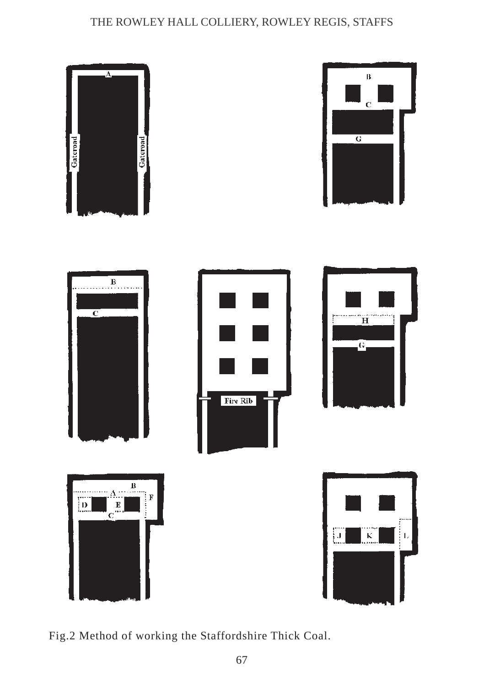## THE ROWLEY HALL COLLIERY, ROWLEY REGIS, STAFFS



Fig.2 Method of working the Staffordshire Thick Coal.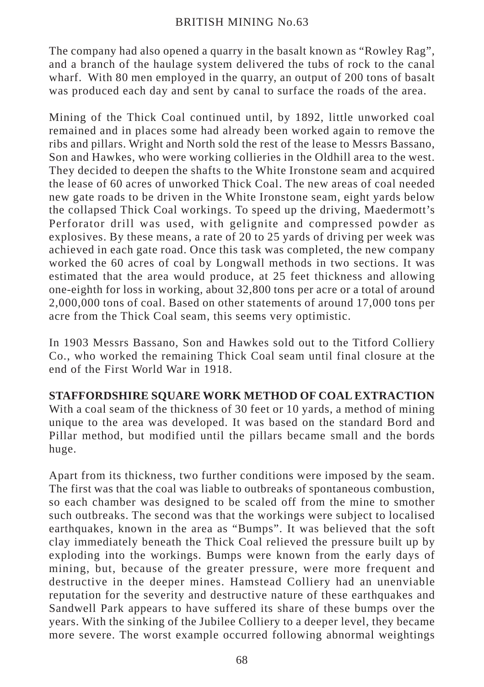#### BRITISH MINING No.63

The company had also opened a quarry in the basalt known as "Rowley Rag", and a branch of the haulage system delivered the tubs of rock to the canal wharf. With 80 men employed in the quarry, an output of 200 tons of basalt was produced each day and sent by canal to surface the roads of the area.

Mining of the Thick Coal continued until, by 1892, little unworked coal remained and in places some had already been worked again to remove the ribs and pillars. Wright and North sold the rest of the lease to Messrs Bassano, Son and Hawkes, who were working collieries in the Oldhill area to the west. They decided to deepen the shafts to the White Ironstone seam and acquired the lease of 60 acres of unworked Thick Coal. The new areas of coal needed new gate roads to be driven in the White Ironstone seam, eight yards below the collapsed Thick Coal workings. To speed up the driving, Maedermott's Perforator drill was used, with gelignite and compressed powder as explosives. By these means, a rate of 20 to 25 yards of driving per week was achieved in each gate road. Once this task was completed, the new company worked the 60 acres of coal by Longwall methods in two sections. It was estimated that the area would produce, at 25 feet thickness and allowing one-eighth for loss in working, about 32,800 tons per acre or a total of around 2,000,000 tons of coal. Based on other statements of around 17,000 tons per acre from the Thick Coal seam, this seems very optimistic.

In 1903 Messrs Bassano, Son and Hawkes sold out to the Titford Colliery Co., who worked the remaining Thick Coal seam until final closure at the end of the First World War in 1918.

### **STAFFORDSHIRE SQUARE WORK METHOD OF COAL EXTRACTION**

With a coal seam of the thickness of 30 feet or 10 yards, a method of mining unique to the area was developed. It was based on the standard Bord and Pillar method, but modified until the pillars became small and the bords huge.

Apart from its thickness, two further conditions were imposed by the seam. The first was that the coal was liable to outbreaks of spontaneous combustion, so each chamber was designed to be scaled off from the mine to smother such outbreaks. The second was that the workings were subject to localised earthquakes, known in the area as "Bumps". It was believed that the soft clay immediately beneath the Thick Coal relieved the pressure built up by exploding into the workings. Bumps were known from the early days of mining, but, because of the greater pressure, were more frequent and destructive in the deeper mines. Hamstead Colliery had an unenviable reputation for the severity and destructive nature of these earthquakes and Sandwell Park appears to have suffered its share of these bumps over the years. With the sinking of the Jubilee Colliery to a deeper level, they became more severe. The worst example occurred following abnormal weightings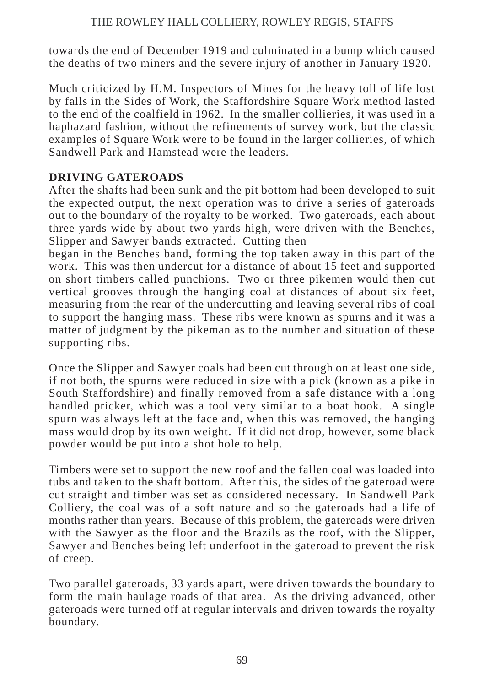towards the end of December 1919 and culminated in a bump which caused the deaths of two miners and the severe injury of another in January 1920.

Much criticized by H.M. Inspectors of Mines for the heavy toll of life lost by falls in the Sides of Work, the Staffordshire Square Work method lasted to the end of the coalfield in 1962. In the smaller collieries, it was used in a haphazard fashion, without the refinements of survey work, but the classic examples of Square Work were to be found in the larger collieries, of which Sandwell Park and Hamstead were the leaders.

## **DRIVING GATEROADS**

After the shafts had been sunk and the pit bottom had been developed to suit the expected output, the next operation was to drive a series of gateroads out to the boundary of the royalty to be worked. Two gateroads, each about three yards wide by about two yards high, were driven with the Benches, Slipper and Sawyer bands extracted. Cutting then

began in the Benches band, forming the top taken away in this part of the work. This was then undercut for a distance of about 15 feet and supported on short timbers called punchions. Two or three pikemen would then cut vertical grooves through the hanging coal at distances of about six feet, measuring from the rear of the undercutting and leaving several ribs of coal to support the hanging mass. These ribs were known as spurns and it was a matter of judgment by the pikeman as to the number and situation of these supporting ribs.

Once the Slipper and Sawyer coals had been cut through on at least one side, if not both, the spurns were reduced in size with a pick (known as a pike in South Staffordshire) and finally removed from a safe distance with a long handled pricker, which was a tool very similar to a boat hook. A single spurn was always left at the face and, when this was removed, the hanging mass would drop by its own weight. If it did not drop, however, some black powder would be put into a shot hole to help.

Timbers were set to support the new roof and the fallen coal was loaded into tubs and taken to the shaft bottom. After this, the sides of the gateroad were cut straight and timber was set as considered necessary. In Sandwell Park Colliery, the coal was of a soft nature and so the gateroads had a life of months rather than years. Because of this problem, the gateroads were driven with the Sawyer as the floor and the Brazils as the roof, with the Slipper, Sawyer and Benches being left underfoot in the gateroad to prevent the risk of creep.

Two parallel gateroads, 33 yards apart, were driven towards the boundary to form the main haulage roads of that area. As the driving advanced, other gateroads were turned off at regular intervals and driven towards the royalty boundary.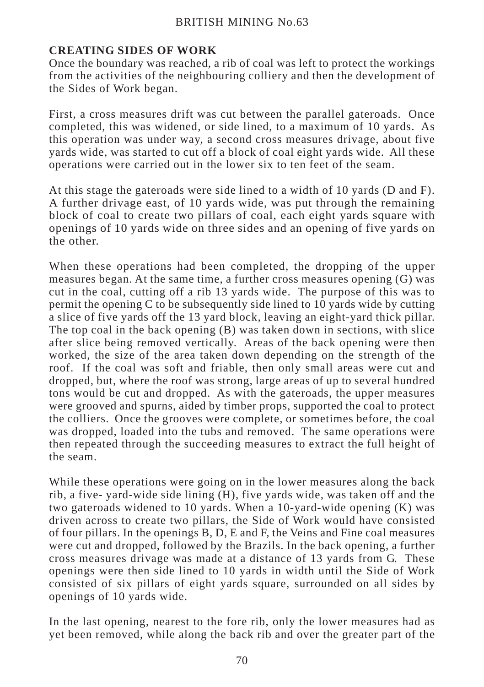## **CREATING SIDES OF WORK**

Once the boundary was reached, a rib of coal was left to protect the workings from the activities of the neighbouring colliery and then the development of the Sides of Work began.

First, a cross measures drift was cut between the parallel gateroads. Once completed, this was widened, or side lined, to a maximum of 10 yards. As this operation was under way, a second cross measures drivage, about five yards wide, was started to cut off a block of coal eight yards wide. All these operations were carried out in the lower six to ten feet of the seam.

At this stage the gateroads were side lined to a width of 10 yards (D and F). A further drivage east, of 10 yards wide, was put through the remaining block of coal to create two pillars of coal, each eight yards square with openings of 10 yards wide on three sides and an opening of five yards on the other.

When these operations had been completed, the dropping of the upper measures began. At the same time, a further cross measures opening (G) was cut in the coal, cutting off a rib 13 yards wide. The purpose of this was to permit the opening C to be subsequently side lined to  $10$  yards wide by cutting a slice of five yards off the 13 yard block, leaving an eight-yard thick pillar. The top coal in the back opening (B) was taken down in sections, with slice after slice being removed vertically. Areas of the back opening were then worked, the size of the area taken down depending on the strength of the roof. If the coal was soft and friable, then only small areas were cut and dropped, but, where the roof was strong, large areas of up to several hundred tons would be cut and dropped. As with the gateroads, the upper measures were grooved and spurns, aided by timber props, supported the coal to protect the colliers. Once the grooves were complete, or sometimes before, the coal was dropped, loaded into the tubs and removed. The same operations were then repeated through the succeeding measures to extract the full height of the seam.

While these operations were going on in the lower measures along the back rib, a five- yard-wide side lining (H), five yards wide, was taken off and the two gateroads widened to 10 yards. When a 10-yard-wide opening (K) was driven across to create two pillars, the Side of Work would have consisted of four pillars. In the openings B, D, E and F, the Veins and Fine coal measures were cut and dropped, followed by the Brazils. In the back opening, a further cross measures drivage was made at a distance of 13 yards from G. These openings were then side lined to 10 yards in width until the Side of Work consisted of six pillars of eight yards square, surrounded on all sides by openings of 10 yards wide.

In the last opening, nearest to the fore rib, only the lower measures had as yet been removed, while along the back rib and over the greater part of the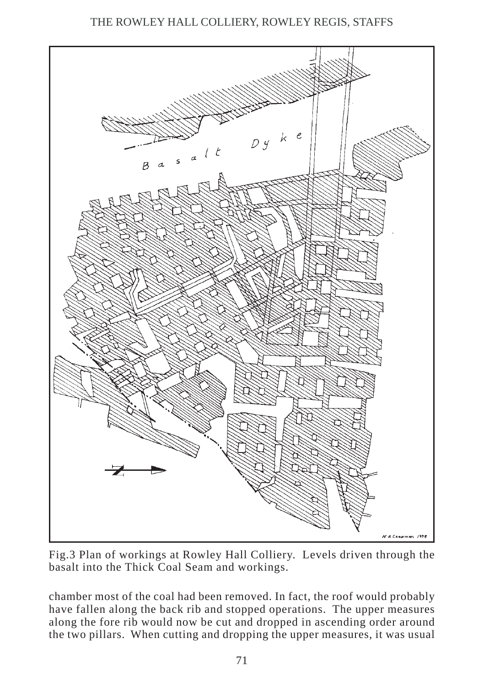

Fig.3 Plan of workings at Rowley Hall Colliery. Levels driven through the basalt into the Thick Coal Seam and workings.

chamber most of the coal had been removed. In fact, the roof would probably have fallen along the back rib and stopped operations. The upper measures along the fore rib would now be cut and dropped in ascending order around the two pillars. When cutting and dropping the upper measures, it was usual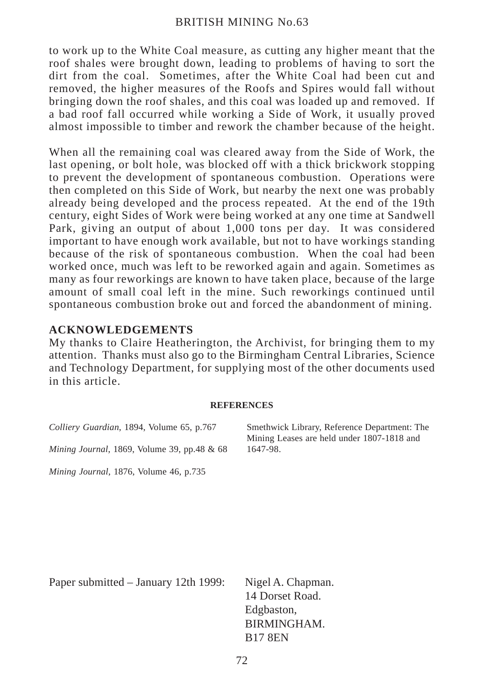to work up to the White Coal measure, as cutting any higher meant that the roof shales were brought down, leading to problems of having to sort the dirt from the coal. Sometimes, after the White Coal had been cut and removed, the higher measures of the Roofs and Spires would fall without bringing down the roof shales, and this coal was loaded up and removed. If a bad roof fall occurred while working a Side of Work, it usually proved almost impossible to timber and rework the chamber because of the height.

When all the remaining coal was cleared away from the Side of Work, the last opening, or bolt hole, was blocked off with a thick brickwork stopping to prevent the development of spontaneous combustion. Operations were then completed on this Side of Work, but nearby the next one was probably already being developed and the process repeated. At the end of the 19th century, eight Sides of Work were being worked at any one time at Sandwell Park, giving an output of about 1,000 tons per day. It was considered important to have enough work available, but not to have workings standing because of the risk of spontaneous combustion. When the coal had been worked once, much was left to be reworked again and again. Sometimes as many as four reworkings are known to have taken place, because of the large amount of small coal left in the mine. Such reworkings continued until spontaneous combustion broke out and forced the abandonment of mining.

### **ACKNOWLEDGEMENTS**

My thanks to Claire Heatherington, the Archivist, for bringing them to my attention. Thanks must also go to the Birmingham Central Libraries, Science and Technology Department, for supplying most of the other documents used in this article.

#### **REFERENCES**

*Colliery Guardian*, 1894, Volume 65, p.767 *Mining Journal*, 1869, Volume 39, pp.48 & 68

*Mining Journal*, 1876, Volume 46, p.735

Smethwick Library, Reference Department: The Mining Leases are held under 1807-1818 and 1647-98.

Paper submitted – January 12th 1999: Nigel A. Chapman.

14 Dorset Road. Edgbaston, BIRMINGHAM. B17 8EN